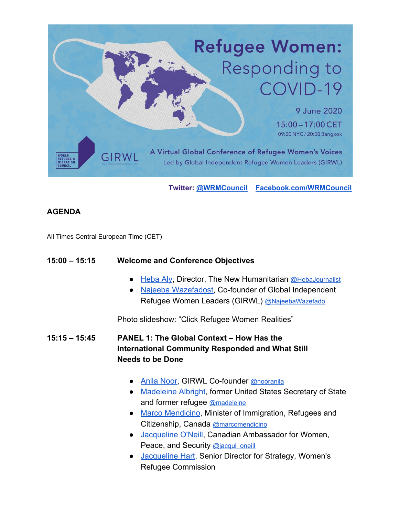

**Twitter: [@WRMCouncil](https://twitter.com/wrmcouncil) [Facebook.com/WRMCouncil](https://www.facebook.com/WRMCouncil/?ref=page_internal)**

# **AGENDA**

All Times Central European Time (CET)

#### **15:00 – 15:15 Welcome and Conference Objectives**

- [Heba Aly,](https://docs.google.com/document/d/1BnUysN8MDKwGRID6pdj-JeK1aiR1hnxWEUo7Q7NeQlM/edit#) Director, The New Humanitarian [@HebaJournalist](https://twitter.com/hebajournalist?lang=en)
- [Najeeba Wazefadost,](https://docs.google.com/document/d/1IkTWaFPKsGd8tODJbKnhBQKDEnb3dSdSsa1eGrjhp5c/edit?usp=sharing) Co-founder of Global Independent Refugee Women Leaders (GIRWL) [@NajeebaWazefado](https://twitter.com/najeebawazefado?lang=en)

Photo slideshow: "Click Refugee Women Realities"

**15:15 – 15:45 PANEL 1: The Global Context – How Has the International Community Responded and What Still Needs to be Done**

- [Anila Noor](https://docs.google.com/document/d/1KQXn5jOovIpouBC9UDSin8lFFyW8RxnHfMnQ06H0h70/edit?usp=sharing), GIRWL Co-founder [@nooranila](https://twitter.com/nooranila?lang=en)
- [Madeleine Albright,](https://www.albrightstonebridge.com/team/madeleine-k-albright) former United States Secretary of State and former refugee [@madeleine](https://news.sky.com/story/madeleine-mccann-german-prosecutor-has-evidence-british-girl-is-dead-12003094)
- [Marco Mendicino,](https://docs.google.com/document/d/1TTzTwIj8o9ucFhaWVRq6N8D-pe0dsM5q_N1FAN_zm_o/edit?usp=sharing) Minister of Immigration, Refugees and Citizenship, Canada [@marcomendicino](https://twitter.com/marcomendicino?lang=en)
- [Jacqueline O'Neill,](https://docs.google.com/document/d/1i17vgUCYQjIiNJN4aJ98rFogwovRAO8Wy3DaUXQvGzM/edit?usp=sharing) Canadian Ambassador for Women, Peace, and Security [@jacqui\\_oneill](https://twitter.com/jacqui_oneill)
- [Jacqueline Hart](https://docs.google.com/document/d/1G2JC9sFC-pOBypD7pkzd68MKCuSvqq5v5gRu7EZWsXE/edit?usp=sharing), Senior Director for Strategy, Women's Refugee Commission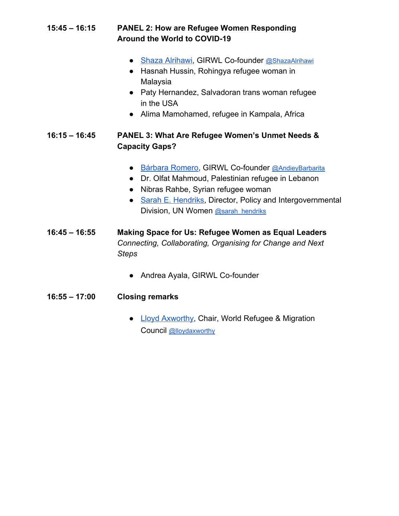# **15:45 – 16:15 PANEL 2: How are Refugee Women Responding Around the World to COVID-19**

- [Shaza Alrihawi,](https://docs.google.com/document/d/1-uOVsh03XVkT7knbG28LHNtm-R0k8igO9-2MQBZDAiE/edit?usp=sharing) GIRWL Co-founder [@ShazaAlrihawi](https://twitter.com/shazaalrihawi?lang=en)
- Hasnah Hussin, Rohingya refugee woman in Malaysia
- Paty Hernandez, Salvadoran trans woman refugee in the USA
- Alima Mamohamed, refugee in Kampala, Africa

# **16:15 – 16:45 PANEL 3: What Are Refugee Women's Unmet Needs & Capacity Gaps?**

- [Bárbara Romero](https://docs.google.com/document/d/1VoE26pru8LJmBvMyM0tnhCy7O6eqr48gFzBWlCdiOac/edit?usp=sharing), GIRWL Co-founder [@AndieyBarbarita](https://twitter.com/andieybarbarita)
- Dr. Olfat Mahmoud, Palestinian refugee in Lebanon
- Nibras Rahbe, Syrian refugee woman
- [Sarah E. Hendriks,](https://drive.google.com/file/d/1j-_3FqvxHM_xkRRUqgj1zHUM_DULbMwE/view?usp=sharing) Director, Policy and Intergovernmental Division, UN Women [@sarah\\_hendriks](https://twitter.com/sarah_hendriks)
- **16:45 16:55 Making Space for Us: Refugee Women as Equal Leaders** *Connecting, Collaborating, Organising for Change and Next Steps*
	- Andrea Ayala, GIRWL Co-founder
- **16:55 17:00 Closing remarks**
	- [Lloyd Axworthy](https://docs.google.com/document/d/1J5HqueQRiZaJHwd-5dG7T-MumIdWCT3egzvhUZX9h8k/edit?usp=sharing), Chair, World Refugee & Migration Council [@lloydaxworthy](https://twitter.com/lloydaxworthy)